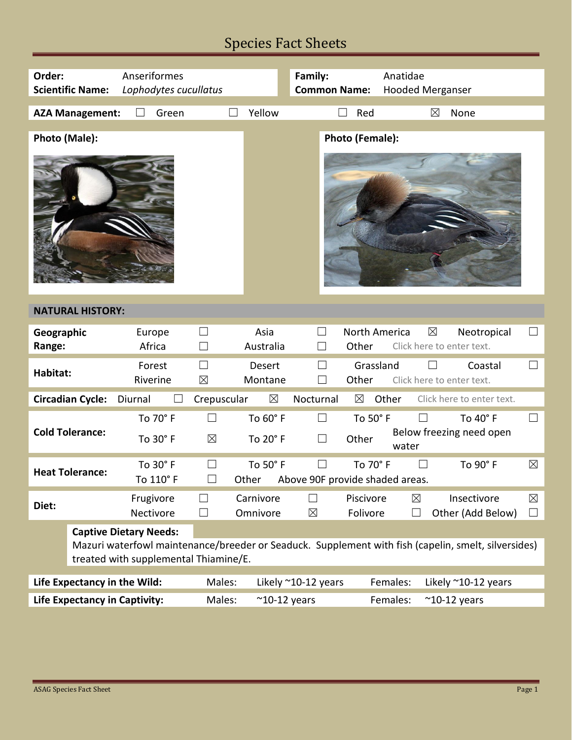# Species Fact Sheets

| Order:                                                                                                                             | <b>Scientific Name:</b>                                                                                                                                                       | Anseriformes<br>Lophodytes cucullatus |                          |                       | Family:<br><b>Common Name:</b>  | Anatidae<br><b>Hooded Merganser</b>                       |                                                      |  |  |
|------------------------------------------------------------------------------------------------------------------------------------|-------------------------------------------------------------------------------------------------------------------------------------------------------------------------------|---------------------------------------|--------------------------|-----------------------|---------------------------------|-----------------------------------------------------------|------------------------------------------------------|--|--|
|                                                                                                                                    | <b>AZA Management:</b>                                                                                                                                                        | Green                                 |                          | Yellow                | $\vert \ \ \vert$               | $\boxtimes$<br>Red                                        | None                                                 |  |  |
| Photo (Male):                                                                                                                      |                                                                                                                                                                               |                                       |                          |                       |                                 | Photo (Female):                                           |                                                      |  |  |
| <b>NATURAL HISTORY:</b>                                                                                                            |                                                                                                                                                                               |                                       |                          |                       |                                 |                                                           |                                                      |  |  |
| Geographic<br>Range:                                                                                                               |                                                                                                                                                                               | Europe<br>Africa                      | $\Box$                   | Asia<br>Australia     | $\Box$<br>Other                 | North America<br>$\boxtimes$                              | $\Box$<br>Neotropical<br>Click here to enter text.   |  |  |
| Habitat:                                                                                                                           |                                                                                                                                                                               | Forest<br>Riverine                    | $\Box$<br>$\boxtimes$    | Desert<br>Montane     | $\Box$<br>Other                 | Grassland                                                 | $\Box$<br>Coastal<br>Click here to enter text.       |  |  |
| $\boxtimes$<br>$\boxtimes$<br><b>Circadian Cycle:</b><br>Crepuscular<br>Nocturnal<br>Other<br>Click here to enter text.<br>Diurnal |                                                                                                                                                                               |                                       |                          |                       |                                 |                                                           |                                                      |  |  |
| <b>Cold Tolerance:</b>                                                                                                             |                                                                                                                                                                               | To 70° F<br>To 30° F                  | $\boxtimes$              | To 60° F<br>To 20° F  | $\Box$<br>Other<br>$\Box$       | To 50° F<br>water                                         | To 40° F<br>ப<br>Below freezing need open            |  |  |
| <b>Heat Tolerance:</b>                                                                                                             |                                                                                                                                                                               | To 30° F<br>To 110° F                 |                          | To 50° F<br>Other     | Above 90F provide shaded areas. | To 70° F<br>$\perp$                                       | $\boxtimes$<br>To 90° F                              |  |  |
| Diet:                                                                                                                              |                                                                                                                                                                               | Frugivore<br>Nectivore                | $\overline{\phantom{a}}$ | Carnivore<br>Omnivore | $\Box$<br>$\boxtimes$           | $\boxtimes$<br>Piscivore<br>Folivore<br>$\vert \ \ \vert$ | Insectivore<br>$\boxtimes$<br>Other (Add Below)<br>ப |  |  |
|                                                                                                                                    | <b>Captive Dietary Needs:</b><br>Mazuri waterfowl maintenance/breeder or Seaduck. Supplement with fish (capelin, smelt, silversides)<br>treated with supplemental Thiamine/E. |                                       |                          |                       |                                 |                                                           |                                                      |  |  |
| Life Expectancy in the Wild:                                                                                                       |                                                                                                                                                                               |                                       | Males:                   |                       | Likely ~10-12 years             | Females:                                                  | Likely $^{\sim}$ 10-12 years                         |  |  |
| <b>Life Expectancy in Captivity:</b>                                                                                               |                                                                                                                                                                               | Males:                                | $^{\sim}$ 10-12 years    |                       | Females:                        | $^{\sim}$ 10-12 years                                     |                                                      |  |  |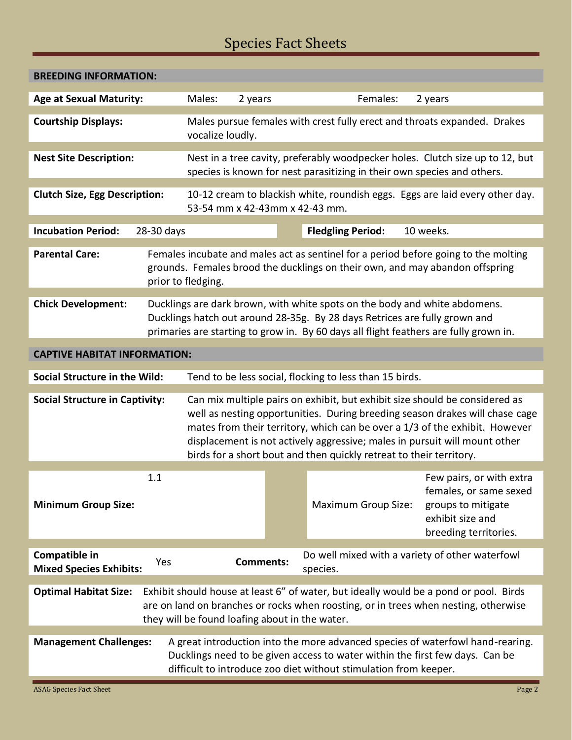# Species Fact Sheets

| <b>BREEDING INFORMATION:</b>                                                                                                                                                                                                                                        |                                                                                                                                                          |                                                                                                                                                                                                                                                                                                                                                                                                 |         |                            |                                                                                                                       |  |  |
|---------------------------------------------------------------------------------------------------------------------------------------------------------------------------------------------------------------------------------------------------------------------|----------------------------------------------------------------------------------------------------------------------------------------------------------|-------------------------------------------------------------------------------------------------------------------------------------------------------------------------------------------------------------------------------------------------------------------------------------------------------------------------------------------------------------------------------------------------|---------|----------------------------|-----------------------------------------------------------------------------------------------------------------------|--|--|
| <b>Age at Sexual Maturity:</b>                                                                                                                                                                                                                                      |                                                                                                                                                          | Males:                                                                                                                                                                                                                                                                                                                                                                                          | 2 years | Females:                   | 2 years                                                                                                               |  |  |
| <b>Courtship Displays:</b>                                                                                                                                                                                                                                          | Males pursue females with crest fully erect and throats expanded. Drakes<br>vocalize loudly.                                                             |                                                                                                                                                                                                                                                                                                                                                                                                 |         |                            |                                                                                                                       |  |  |
| <b>Nest Site Description:</b>                                                                                                                                                                                                                                       | Nest in a tree cavity, preferably woodpecker holes. Clutch size up to 12, but<br>species is known for nest parasitizing in their own species and others. |                                                                                                                                                                                                                                                                                                                                                                                                 |         |                            |                                                                                                                       |  |  |
| <b>Clutch Size, Egg Description:</b>                                                                                                                                                                                                                                | 10-12 cream to blackish white, roundish eggs. Eggs are laid every other day.<br>53-54 mm x 42-43mm x 42-43 mm.                                           |                                                                                                                                                                                                                                                                                                                                                                                                 |         |                            |                                                                                                                       |  |  |
| <b>Incubation Period:</b><br>28-30 days                                                                                                                                                                                                                             |                                                                                                                                                          |                                                                                                                                                                                                                                                                                                                                                                                                 |         | <b>Fledgling Period:</b>   | 10 weeks.                                                                                                             |  |  |
| <b>Parental Care:</b>                                                                                                                                                                                                                                               |                                                                                                                                                          | Females incubate and males act as sentinel for a period before going to the molting<br>grounds. Females brood the ducklings on their own, and may abandon offspring<br>prior to fledging.                                                                                                                                                                                                       |         |                            |                                                                                                                       |  |  |
| <b>Chick Development:</b>                                                                                                                                                                                                                                           |                                                                                                                                                          | Ducklings are dark brown, with white spots on the body and white abdomens.<br>Ducklings hatch out around 28-35g. By 28 days Retrices are fully grown and<br>primaries are starting to grow in. By 60 days all flight feathers are fully grown in.                                                                                                                                               |         |                            |                                                                                                                       |  |  |
| <b>CAPTIVE HABITAT INFORMATION:</b>                                                                                                                                                                                                                                 |                                                                                                                                                          |                                                                                                                                                                                                                                                                                                                                                                                                 |         |                            |                                                                                                                       |  |  |
| <b>Social Structure in the Wild:</b>                                                                                                                                                                                                                                | Tend to be less social, flocking to less than 15 birds.                                                                                                  |                                                                                                                                                                                                                                                                                                                                                                                                 |         |                            |                                                                                                                       |  |  |
| <b>Social Structure in Captivity:</b>                                                                                                                                                                                                                               |                                                                                                                                                          | Can mix multiple pairs on exhibit, but exhibit size should be considered as<br>well as nesting opportunities. During breeding season drakes will chase cage<br>mates from their territory, which can be over a 1/3 of the exhibit. However<br>displacement is not actively aggressive; males in pursuit will mount other<br>birds for a short bout and then quickly retreat to their territory. |         |                            |                                                                                                                       |  |  |
| <b>Minimum Group Size:</b>                                                                                                                                                                                                                                          | 1.1                                                                                                                                                      |                                                                                                                                                                                                                                                                                                                                                                                                 |         | <b>Maximum Group Size:</b> | Few pairs, or with extra<br>females, or same sexed<br>groups to mitigate<br>exhibit size and<br>breeding territories. |  |  |
| Compatible in<br>Do well mixed with a variety of other waterfowl<br><b>Comments:</b><br>Yes<br><b>Mixed Species Exhibits:</b><br>species.                                                                                                                           |                                                                                                                                                          |                                                                                                                                                                                                                                                                                                                                                                                                 |         |                            |                                                                                                                       |  |  |
| <b>Optimal Habitat Size:</b><br>Exhibit should house at least 6" of water, but ideally would be a pond or pool. Birds<br>are on land on branches or rocks when roosting, or in trees when nesting, otherwise<br>they will be found loafing about in the water.      |                                                                                                                                                          |                                                                                                                                                                                                                                                                                                                                                                                                 |         |                            |                                                                                                                       |  |  |
| A great introduction into the more advanced species of waterfowl hand-rearing.<br><b>Management Challenges:</b><br>Ducklings need to be given access to water within the first few days. Can be<br>difficult to introduce zoo diet without stimulation from keeper. |                                                                                                                                                          |                                                                                                                                                                                                                                                                                                                                                                                                 |         |                            |                                                                                                                       |  |  |
| <b>ASAG Species Fact Sheet</b>                                                                                                                                                                                                                                      |                                                                                                                                                          |                                                                                                                                                                                                                                                                                                                                                                                                 |         |                            | Page 2                                                                                                                |  |  |